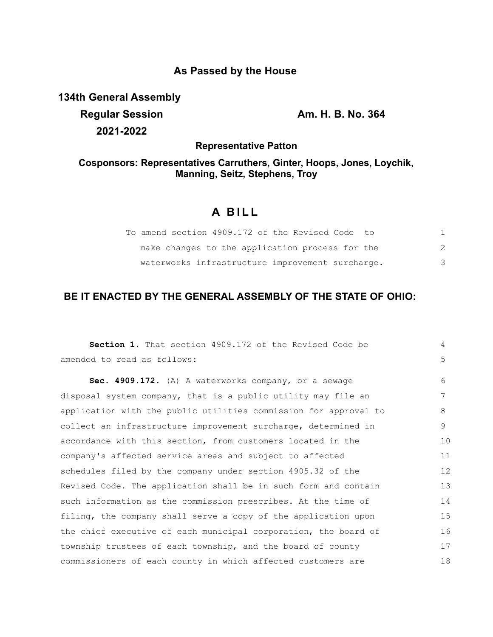### **As Passed by the House**

**134th General Assembly**

**Regular Session Am. H. B. No. 364 2021-2022**

**Representative Patton**

## **Cosponsors: Representatives Carruthers, Ginter, Hoops, Jones, Loychik, Manning, Seitz, Stephens, Troy**

# **A B I L L**

| To amend section 4909.172 of the Revised Code to |   |
|--------------------------------------------------|---|
| make changes to the application process for the  |   |
| waterworks infrastructure improvement surcharge. | 3 |

### **BE IT ENACTED BY THE GENERAL ASSEMBLY OF THE STATE OF OHIO:**

| Section 1. That section 4909.172 of the Revised Code be          | 4  |
|------------------------------------------------------------------|----|
| amended to read as follows:                                      | 5  |
| Sec. 4909.172. (A) A waterworks company, or a sewage             | 6  |
| disposal system company, that is a public utility may file an    | 7  |
| application with the public utilities commission for approval to | 8  |
| collect an infrastructure improvement surcharge, determined in   | 9  |
| accordance with this section, from customers located in the      | 10 |
| company's affected service areas and subject to affected         | 11 |
| schedules filed by the company under section 4905.32 of the      | 12 |
| Revised Code. The application shall be in such form and contain  | 13 |
| such information as the commission prescribes. At the time of    | 14 |
| filing, the company shall serve a copy of the application upon   | 15 |
| the chief executive of each municipal corporation, the board of  | 16 |
| township trustees of each township, and the board of county      | 17 |
| commissioners of each county in which affected customers are     | 18 |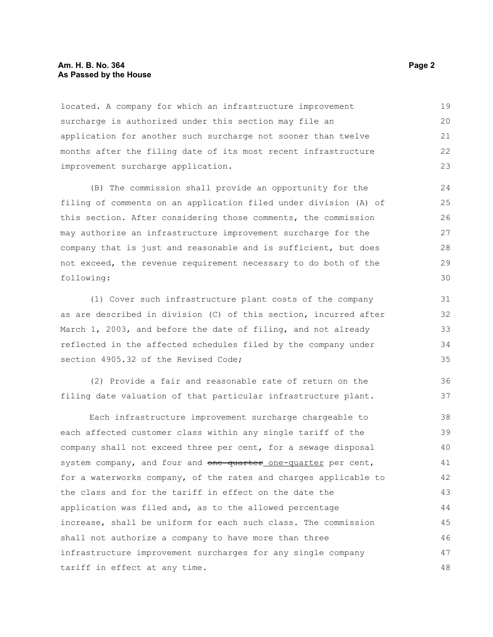#### **Am. H. B. No. 364** Page 2 **Page 2 As Passed by the House**

located. A company for which an infrastructure improvement surcharge is authorized under this section may file an application for another such surcharge not sooner than twelve months after the filing date of its most recent infrastructure improvement surcharge application. 19 20 21 22 23

(B) The commission shall provide an opportunity for the filing of comments on an application filed under division (A) of this section. After considering those comments, the commission may authorize an infrastructure improvement surcharge for the company that is just and reasonable and is sufficient, but does not exceed, the revenue requirement necessary to do both of the following:

(1) Cover such infrastructure plant costs of the company as are described in division (C) of this section, incurred after March 1, 2003, and before the date of filing, and not already reflected in the affected schedules filed by the company under section 4905.32 of the Revised Code:

(2) Provide a fair and reasonable rate of return on the filing date valuation of that particular infrastructure plant.

Each infrastructure improvement surcharge chargeable to each affected customer class within any single tariff of the company shall not exceed three per cent, for a sewage disposal system company, and four and one quarter one-quarter per cent, for a waterworks company, of the rates and charges applicable to the class and for the tariff in effect on the date the application was filed and, as to the allowed percentage increase, shall be uniform for each such class. The commission shall not authorize a company to have more than three infrastructure improvement surcharges for any single company tariff in effect at any time. 38 39 40 41 42 43 44 45 46 47 48

36 37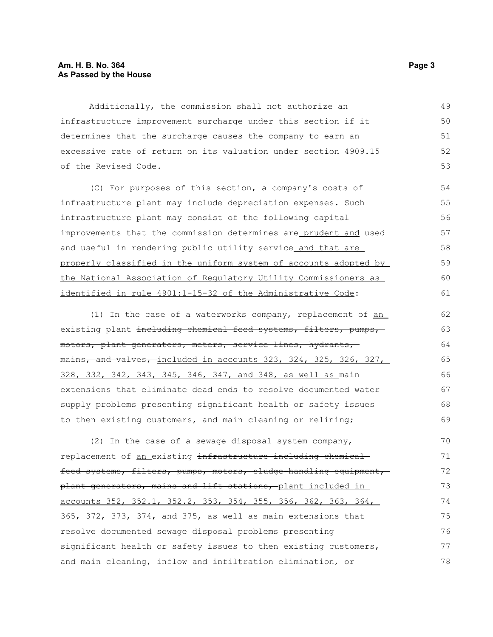#### **Am. H. B. No. 364** Page 3 **As Passed by the House**

Additionally, the commission shall not authorize an infrastructure improvement surcharge under this section if it determines that the surcharge causes the company to earn an excessive rate of return on its valuation under section 4909.15 of the Revised Code.

(C) For purposes of this section, a company's costs of infrastructure plant may include depreciation expenses. Such infrastructure plant may consist of the following capital improvements that the commission determines are prudent and used and useful in rendering public utility service and that are properly classified in the uniform system of accounts adopted by the National Association of Regulatory Utility Commissioners as identified in rule 4901:1-15-32 of the Administrative Code:

(1) In the case of a waterworks company, replacement of an existing plant including chemical feed systems, filters, pumps, motors, plant generators, meters, service lines, hydrants, mains, and valves, included in accounts 323, 324, 325, 326, 327, 328, 332, 342, 343, 345, 346, 347, and 348, as well as main extensions that eliminate dead ends to resolve documented water supply problems presenting significant health or safety issues to then existing customers, and main cleaning or relining; 62 63 64 65 66 67 68 69

(2) In the case of a sewage disposal system company, replacement of an existing infrastructure including chemical feed systems, filters, pumps, motors, sludge-handling equipment, plant generators, mains and lift stations, plant included in accounts 352, 352.1, 352.2, 353, 354, 355, 356, 362, 363, 364, 365, 372, 373, 374, and 375, as well as main extensions that resolve documented sewage disposal problems presenting significant health or safety issues to then existing customers, and main cleaning, inflow and infiltration elimination, or  $70$ 71 72 73 74 75 76 77 78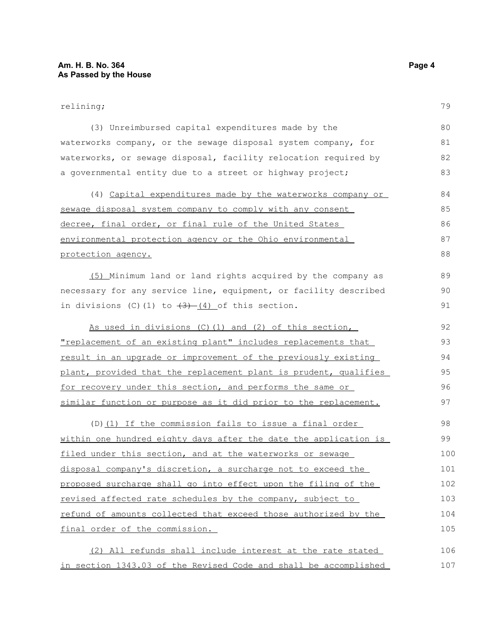#### relining;

| (3) Unreimbursed capital expenditures made by the                    | 80  |
|----------------------------------------------------------------------|-----|
| waterworks company, or the sewage disposal system company, for       | 81  |
| waterworks, or sewage disposal, facility relocation required by      | 82  |
| a governmental entity due to a street or highway project;            | 83  |
| (4) Capital expenditures made by the waterworks company or           | 84  |
| sewage disposal system company to comply with any consent            | 85  |
| decree, final order, or final rule of the United States              | 86  |
| environmental protection agency or the Ohio environmental            | 87  |
| protection agency.                                                   | 88  |
| (5) Minimum land or land rights acquired by the company as           | 89  |
| necessary for any service line, equipment, or facility described     | 90  |
| in divisions $(C)$ (1) to $\frac{3}{2}$ (4) of this section.         | 91  |
| As used in divisions (C) (1) and (2) of this section,                | 92  |
| <u>"replacement of an existing plant" includes replacements that</u> | 93  |
| result in an upgrade or improvement of the previously existing       | 94  |
| plant, provided that the replacement plant is prudent, qualifies     | 95  |
| for recovery under this section, and performs the same or            | 96  |
| similar function or purpose as it did prior to the replacement.      | 97  |
| (D) (1) If the commission fails to issue a final order               | 98  |
| within one hundred eighty days after the date the application is     | 99  |
| filed under this section, and at the waterworks or sewage            | 100 |
| disposal company's discretion, a surcharge not to exceed the         | 101 |
| proposed surcharge shall go into effect upon the filing of the       | 102 |
| revised affected rate schedules by the company, subject to           | 103 |
| refund of amounts collected that exceed those authorized by the      | 104 |
| final order of the commission.                                       | 105 |
| (2) All refunds shall include interest at the rate stated            | 106 |
|                                                                      |     |

in section 1343.03 of the Revised Code and shall be accomplished 107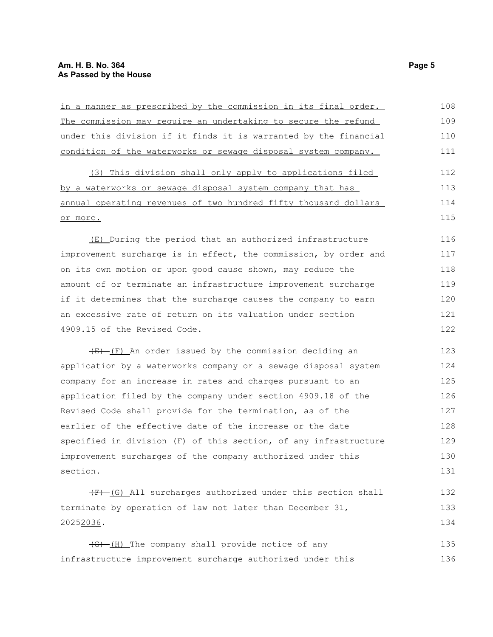| in a manner as prescribed by the commission in its final order.           | 108 |
|---------------------------------------------------------------------------|-----|
| The commission may require an undertaking to secure the refund            | 109 |
| under this division if it finds it is warranted by the financial          | 110 |
| condition of the waterworks or sewage disposal system company.            | 111 |
| (3) This division shall only apply to applications filed                  | 112 |
| by a waterworks or sewage disposal system company that has                | 113 |
| annual operating revenues of two hundred fifty thousand dollars           | 114 |
| or more.                                                                  | 115 |
| (E) During the period that an authorized infrastructure                   | 116 |
| improvement surcharge is in effect, the commission, by order and          | 117 |
| on its own motion or upon good cause shown, may reduce the                | 118 |
| amount of or terminate an infrastructure improvement surcharge            | 119 |
| if it determines that the surcharge causes the company to earn            | 120 |
| an excessive rate of return on its valuation under section                | 121 |
| 4909.15 of the Revised Code.                                              | 122 |
| $\overline{E}-\overline{F}$ An order issued by the commission deciding an | 123 |
| application by a waterworks company or a sewage disposal system           | 124 |
| company for an increase in rates and charges pursuant to an               | 125 |
| application filed by the company under section 4909.18 of the             | 126 |
| Revised Code shall provide for the termination, as of the                 | 127 |
| earlier of the effective date of the increase or the date                 | 128 |
| specified in division (F) of this section, of any infrastructure          | 129 |
| improvement surcharges of the company authorized under this               | 130 |
| section.                                                                  | 131 |
| $(F)$ (G) All surcharges authorized under this section shall              | 132 |
| terminate by operation of law not later than December 31,                 |     |
| 20252036.                                                                 | 134 |
| (G)-(H) The company shall provide notice of any                           | 135 |
| infrastructure improvement surcharge authorized under this                | 136 |